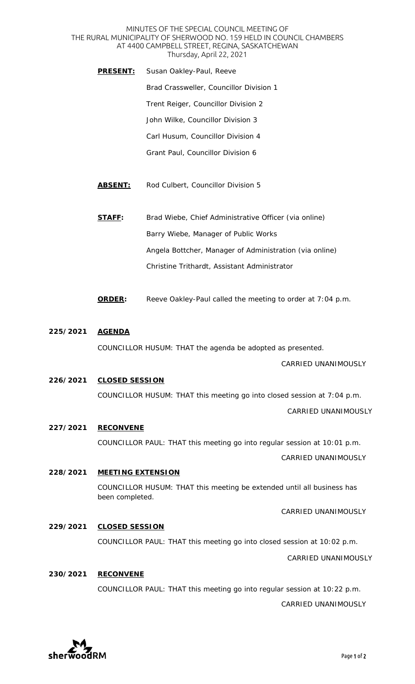#### MINUTES OF THE SPECIAL COUNCIL MEETING OF THE RURAL MUNICIPALITY OF SHERWOOD NO. 159 HELD IN COUNCIL CHAMBERS AT 4400 CAMPBELL STREET, REGINA, SASKATCHEWAN Thursday, April 22, 2021

- **PRESENT:** Susan Oakley-Paul, Reeve Brad Crassweller, Councillor Division 1 Trent Reiger, Councillor Division 2 John Wilke, Councillor Division 3 Carl Husum, Councillor Division 4 Grant Paul, Councillor Division 6
- **ABSENT:** Rod Culbert, Councillor Division 5
- **STAFF:** Brad Wiebe, Chief Administrative Officer *(via online)* Barry Wiebe, Manager of Public Works Angela Bottcher, Manager of Administration *(via online)* Christine Trithardt, Assistant Administrator
- **ORDER:** Reeve Oakley-Paul called the meeting to order at 7:04 p.m.

### **225/2021 AGENDA**

COUNCILLOR HUSUM: THAT the agenda be adopted as presented.

CARRIED UNANIMOUSLY

## **226/2021 CLOSED SESSION**  COUNCILLOR HUSUM: THAT this meeting go into closed session at 7:04 p.m. CARRIED UNANIMOUSLY

**227/2021 RECONVENE** 

COUNCILLOR PAUL: THAT this meeting go into regular session at 10:01 p.m. CARRIED UNANIMOUSLY

**228/2021 MEETING EXTENSION**  COUNCILLOR HUSUM: THAT this meeting be extended until all business has been completed.

CARRIED UNANIMOUSLY

**229/2021 CLOSED SESSION** 

COUNCILLOR PAUL: THAT this meeting go into closed session at 10:02 p.m.

CARRIED UNANIMOUSLY

# **230/2021 RECONVENE**  COUNCILLOR PAUL: THAT this meeting go into regular session at 10:22 p.m.

CARRIED UNANIMOUSLY